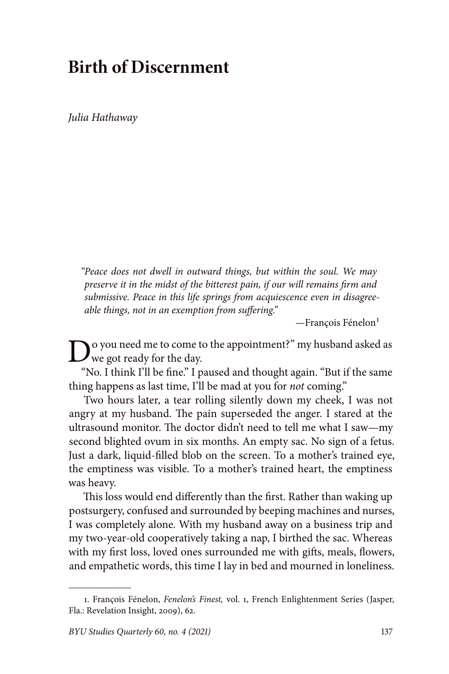## **Birth of Discernment**

*Julia Hathaway*

*"Peace does not dwell in outward things, but within the soul. We may preserve it in the midst of the bitterest pain, if our will remains firm and submissive. Peace in this life springs from acquiescence even in disagreeable things, not in an exemption from suffering."*

 $-$ François Fénelon $<sup>1</sup>$ </sup>

 $\sum_{\text{we got ready for the day.}}$ 

"No. I think I'll be fine." I paused and thought again. "But if the same thing happens as last time, I'll be mad at you for *not* coming."

Two hours later, a tear rolling silently down my cheek, I was not angry at my husband. The pain superseded the anger. I stared at the ultrasound monitor. The doctor didn't need to tell me what I saw—my second blighted ovum in six months. An empty sac. No sign of a fetus. Just a dark, liquid-filled blob on the screen. To a mother's trained eye, the emptiness was visible. To a mother's trained heart, the emptiness was heavy.

This loss would end differently than the first. Rather than waking up postsurgery, confused and surrounded by beeping machines and nurses, I was completely alone. With my husband away on a business trip and my two-year-old cooperatively taking a nap, I birthed the sac. Whereas with my first loss, loved ones surrounded me with gifts, meals, flowers, and empathetic words, this time I lay in bed and mourned in loneliness.

<sup>1.</sup> François Fénelon, *Fenelon's Finest,* vol. 1, French Enlightenment Series (Jasper, Fla.: Revelation Insight, 2009), 62.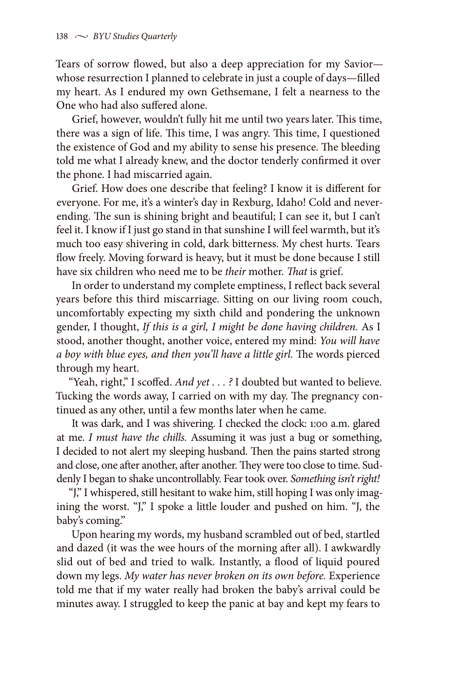Tears of sorrow flowed, but also a deep appreciation for my Savior whose resurrection I planned to celebrate in just a couple of days—filled my heart. As I endured my own Gethsemane, I felt a nearness to the One who had also suffered alone.

Grief, however, wouldn't fully hit me until two years later. This time, there was a sign of life. This time, I was angry. This time, I questioned the existence of God and my ability to sense his presence. The bleeding told me what I already knew, and the doctor tenderly confirmed it over the phone. I had miscarried again.

Grief. How does one describe that feeling? I know it is different for everyone. For me, it's a winter's day in Rexburg, Idaho! Cold and neverending. The sun is shining bright and beautiful; I can see it, but I can't feel it. I know if I just go stand in that sunshine I will feel warmth, but it's much too easy shivering in cold, dark bitterness. My chest hurts. Tears flow freely. Moving forward is heavy, but it must be done because I still have six children who need me to be *their* mother. *That* is grief.

In order to understand my complete emptiness, I reflect back several years before this third miscarriage. Sitting on our living room couch, uncomfortably expecting my sixth child and pondering the unknown gender, I thought, *If this is a girl, I might be done having children.* As I stood, another thought, another voice, entered my mind: *You will have a boy with blue eyes, and then you'll have a little girl.* The words pierced through my heart.

"Yeah, right," I scoffed. *And yet . . . ?* I doubted but wanted to believe. Tucking the words away, I carried on with my day. The pregnancy continued as any other, until a few months later when he came.

It was dark, and I was shivering. I checked the clock: 1:00 a.m. glared at me. *I must have the chills.* Assuming it was just a bug or something, I decided to not alert my sleeping husband. Then the pains started strong and close, one after another, after another. They were too close to time. Suddenly I began to shake uncontrollably. Fear took over. *Something isn't right!*

"J," I whispered, still hesitant to wake him, still hoping I was only imagining the worst. "J," I spoke a little louder and pushed on him. "J, the baby's coming."

Upon hearing my words, my husband scrambled out of bed, startled and dazed (it was the wee hours of the morning after all). I awkwardly slid out of bed and tried to walk. Instantly, a flood of liquid poured down my legs. *My water has never broken on its own before.* Experience told me that if my water really had broken the baby's arrival could be minutes away. I struggled to keep the panic at bay and kept my fears to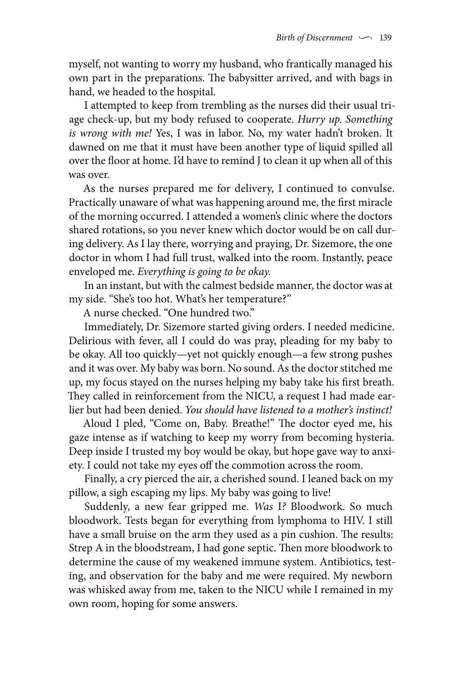myself, not wanting to worry my husband, who frantically managed his own part in the preparations. The babysitter arrived, and with bags in hand, we headed to the hospital.

I attempted to keep from trembling as the nurses did their usual triage check-up, but my body refused to cooperate. *Hurry up. Something is wrong with me!* Yes, I was in labor. No, my water hadn't broken. It dawned on me that it must have been another type of liquid spilled all over the floor at home. I'd have to remind J to clean it up when all of this was over.

As the nurses prepared me for delivery, I continued to convulse. Practically unaware of what was happening around me, the first miracle of the morning occurred. I attended a women's clinic where the doctors shared rotations, so you never knew which doctor would be on call during delivery. As I lay there, worrying and praying, Dr. Sizemore, the one doctor in whom I had full trust, walked into the room. Instantly, peace enveloped me. *Everything is going to be okay.*

In an instant, but with the calmest bedside manner, the doctor was at my side. "She's too hot. What's her temperature?"

A nurse checked. "One hundred two."

Immediately, Dr. Sizemore started giving orders. I needed medicine. Delirious with fever, all I could do was pray, pleading for my baby to be okay. All too quickly—yet not quickly enough—a few strong pushes and it was over. My baby was born. No sound. As the doctor stitched me up, my focus stayed on the nurses helping my baby take his first breath. They called in reinforcement from the NICU, a request I had made earlier but had been denied. *You should have listened to a mother's instinct!*

Aloud I pled, "Come on, Baby. Breathe!" The doctor eyed me, his gaze intense as if watching to keep my worry from becoming hysteria. Deep inside I trusted my boy would be okay, but hope gave way to anxiety. I could not take my eyes off the commotion across the room.

Finally, a cry pierced the air, a cherished sound. I leaned back on my pillow, a sigh escaping my lips. My baby was going to live!

Suddenly, a new fear gripped me. *Was* I*?* Bloodwork. So much bloodwork. Tests began for everything from lymphoma to HIV. I still have a small bruise on the arm they used as a pin cushion. The results: Strep A in the bloodstream, I had gone septic. Then more bloodwork to determine the cause of my weakened immune system. Antibiotics, testing, and observation for the baby and me were required. My newborn was whisked away from me, taken to the NICU while I remained in my own room, hoping for some answers.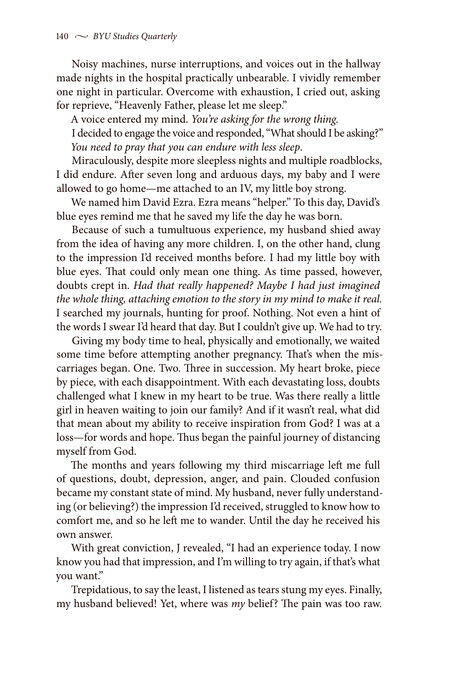Noisy machines, nurse interruptions, and voices out in the hallway made nights in the hospital practically unbearable. I vividly remember one night in particular. Overcome with exhaustion, I cried out, asking for reprieve, "Heavenly Father, please let me sleep."

A voice entered my mind. *You're asking for the wrong thing.*

I decided to engage the voice and responded, "What should I be asking?" *You need to pray that you can endure with less sleep*.

Miraculously, despite more sleepless nights and multiple roadblocks, I did endure. After seven long and arduous days, my baby and I were allowed to go home—me attached to an IV, my little boy strong.

We named him David Ezra. Ezra means "helper." To this day, David's blue eyes remind me that he saved my life the day he was born.

Because of such a tumultuous experience, my husband shied away from the idea of having any more children. I, on the other hand, clung to the impression I'd received months before. I had my little boy with blue eyes. That could only mean one thing. As time passed, however, doubts crept in. *Had that really happened? Maybe I had just imagined the whole thing, attaching emotion to the story in my mind to make it real.*  I searched my journals, hunting for proof. Nothing. Not even a hint of the words I swear I'd heard that day. But I couldn't give up. We had to try.

Giving my body time to heal, physically and emotionally, we waited some time before attempting another pregnancy. That's when the miscarriages began. One. Two. Three in succession. My heart broke, piece by piece, with each disappointment. With each devastating loss, doubts challenged what I knew in my heart to be true. Was there really a little girl in heaven waiting to join our family? And if it wasn't real, what did that mean about my ability to receive inspiration from God? I was at a loss—for words and hope. Thus began the painful journey of distancing myself from God.

The months and years following my third miscarriage left me full of questions, doubt, depression, anger, and pain. Clouded confusion became my constant state of mind. My husband, never fully understanding (or believing?) the impression I'd received, struggled to know how to comfort me, and so he left me to wander. Until the day he received his own answer.

With great conviction, J revealed, "I had an experience today. I now know you had that impression, and I'm willing to try again, if that's what you want."

Trepidatious, to say the least, I listened as tears stung my eyes. Finally, my husband believed! Yet, where was *my* belief? The pain was too raw.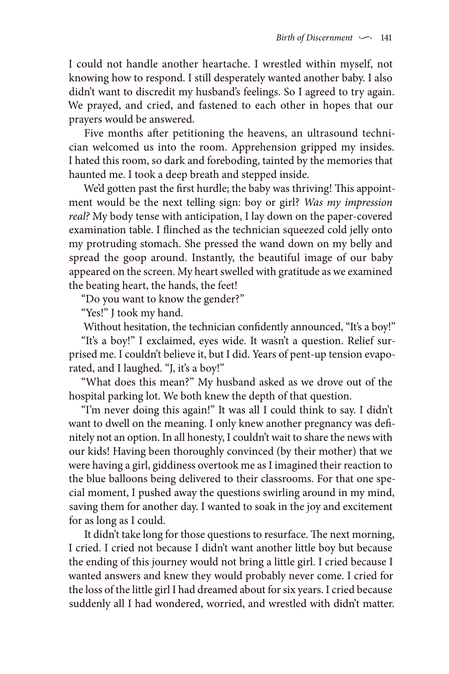I could not handle another heartache. I wrestled within myself, not knowing how to respond. I still desperately wanted another baby. I also didn't want to discredit my husband's feelings. So I agreed to try again. We prayed, and cried, and fastened to each other in hopes that our prayers would be answered.

Five months after petitioning the heavens, an ultrasound technician welcomed us into the room. Apprehension gripped my insides. I hated this room, so dark and foreboding, tainted by the memories that haunted me. I took a deep breath and stepped inside.

We'd gotten past the first hurdle; the baby was thriving! This appointment would be the next telling sign: boy or girl? *Was my impression real?* My body tense with anticipation, I lay down on the paper-covered examination table. I flinched as the technician squeezed cold jelly onto my protruding stomach. She pressed the wand down on my belly and spread the goop around. Instantly, the beautiful image of our baby appeared on the screen. My heart swelled with gratitude as we examined the beating heart, the hands, the feet!

"Do you want to know the gender?"

"Yes!" J took my hand.

Without hesitation, the technician confidently announced, "It's a boy!"

"It's a boy!" I exclaimed, eyes wide. It wasn't a question. Relief surprised me. I couldn't believe it, but I did. Years of pent-up tension evaporated, and I laughed. "J, it's a boy!"

"What does this mean?" My husband asked as we drove out of the hospital parking lot. We both knew the depth of that question.

"I'm never doing this again!" It was all I could think to say. I didn't want to dwell on the meaning. I only knew another pregnancy was definitely not an option. In all honesty, I couldn't wait to share the news with our kids! Having been thoroughly convinced (by their mother) that we were having a girl, giddiness overtook me as I imagined their reaction to the blue balloons being delivered to their classrooms. For that one special moment, I pushed away the questions swirling around in my mind, saving them for another day. I wanted to soak in the joy and excitement for as long as I could.

It didn't take long for those questions to resurface. The next morning, I cried. I cried not because I didn't want another little boy but because the ending of this journey would not bring a little girl. I cried because I wanted answers and knew they would probably never come. I cried for the loss of the little girl I had dreamed about for six years. I cried because suddenly all I had wondered, worried, and wrestled with didn't matter.